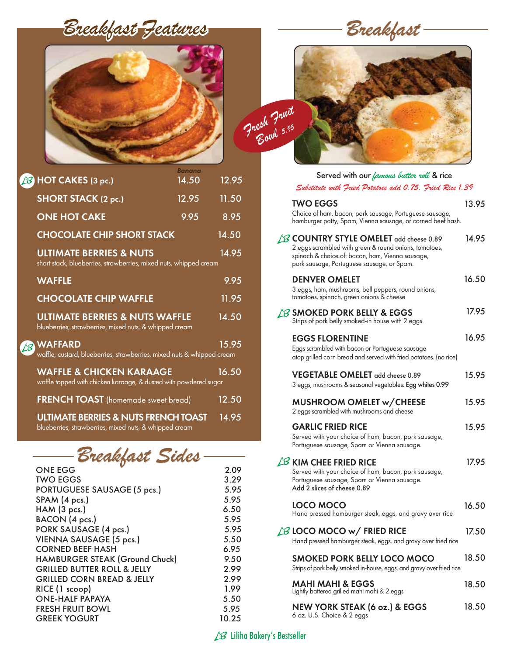# *Breakfast Features*



|                                                                                                           | <b>Banana</b> |       |
|-----------------------------------------------------------------------------------------------------------|---------------|-------|
| $\mathscr{B}$ HOT CAKES (3 pc.)                                                                           | 14.50         | 12.95 |
| <b>SHORT STACK (2 pc.)</b>                                                                                | 12.95         | 11.50 |
| <b>ONE HOT CAKE</b>                                                                                       | 9.95          | 8.95  |
| <b>CHOCOLATE CHIP SHORT STACK</b>                                                                         |               | 14.50 |
| <b>ULTIMATE BERRIES &amp; NUTS</b><br>short stack, blueberries, strawberries, mixed nuts, whipped cream   |               | 14.95 |
| <b>WAFFLE</b>                                                                                             |               | 9.95  |
| <b>CHOCOLATE CHIP WAFFLE</b>                                                                              |               | 11.95 |
| <b>ULTIMATE BERRIES &amp; NUTS WAFFLE</b><br>blueberries, strawberries, mixed nuts, & whipped cream       |               | 14.50 |
| <b>WAFFARD</b><br>ľß<br>waffle, custard, blueberries, strawberries, mixed nuts & whipped cream            |               | 15.95 |
| <b>WAFFLE &amp; CHICKEN KARAAGE</b><br>waffle topped with chicken karaage, & dusted with powdered sugar   |               | 16.50 |
| <b>FRENCH TOAST</b> (homemade sweet bread)                                                                |               | 12.50 |
| <b>ULTIMATE BERRIES &amp; NUTS FRENCH TOAST</b><br>blueberries, strawberries, mixed nuts, & whipped cream |               | 14.95 |

# *Breakfast Sides*

| <b>ONE EGG</b>                         | 2.09  |
|----------------------------------------|-------|
| <b>TWO EGGS</b>                        | 3.29  |
| PORTUGUESE SAUSAGE (5 pcs.)            | 5.95  |
| SPAM (4 pcs.)                          | 5.95  |
| HAM (3 pcs.)                           | 6.50  |
| BACON (4 pcs.)                         | 5.95  |
| PORK SAUSAGE (4 pcs.)                  | 5.95  |
| <b>VIENNA SAUSAGE (5 pcs.)</b>         | 5.50  |
| <b>CORNED BEEF HASH</b>                | 6.95  |
| HAMBURGER STEAK (Ground Chuck)         | 9.50  |
| <b>GRILLED BUTTER ROLL &amp; JELLY</b> | 2.99  |
| <b>GRILLED CORN BREAD &amp; JELLY</b>  | 2.99  |
| RICE (1 scoop)                         | 1.99  |
| <b>ONE-HALF PAPAYA</b>                 | 5.50  |
| <b>FRESH FRUIT BOWL</b>                | 5.95  |
| <b>GREEK YOGURT</b>                    | 10.25 |
|                                        |       |





| Substitute with Fried Potatoes add 0.75. Fried Rice 1.39                                                                                                                                                |       |
|---------------------------------------------------------------------------------------------------------------------------------------------------------------------------------------------------------|-------|
| <b>TWO EGGS</b><br>Choice of ham, bacon, pork sausage, Portuguese sausage,<br>hamburger patty, Spam, Vienna sausage, or corned beef hash.                                                               | 13.95 |
| $\beta$ COUNTRY STYLE OMELET add cheese 0.89<br>2 eggs scrambled with green & round onions, tomatoes,<br>spinach & choice of: bacon, ham, Vienna sausage,<br>pork sausage, Portuguese sausage, or Spam. | 14.95 |
| <b>DENVER OMELET</b><br>3 eggs, ham, mushrooms, bell peppers, round onions,<br>tomatoes, spinach, green onions & cheese                                                                                 | 16.50 |
| <b>B SMOKED PORK BELLY &amp; EGGS</b><br>Strips of pork belly smoked-in house with 2 eggs.                                                                                                              | 17.95 |
| <b>EGGS FLORENTINE</b><br>Eggs scrambled with bacon or Portuguese sausage<br>atop grilled corn bread and served with fried potatoes. (no rice)                                                          | 16.95 |
| VEGETABLE OMELET add cheese 0.89<br>3 eggs, mushrooms & seasonal vegetables. Egg whites 0.99                                                                                                            | 15.95 |
| MUSHROOM OMELET w/CHEESE<br>2 eggs scrambled with mushrooms and cheese                                                                                                                                  | 15.95 |
| <b>GARLIC FRIED RICE</b><br>Served with your choice of ham, bacon, pork sausage,<br>Portuguese sausage, Spam or Vienna sausage.                                                                         | 15.95 |
| $\angle$ <sup>3</sup> KIM CHEE FRIED RICE<br>Served with your choice of ham, bacon, pork sausage,<br>Portuguese sausage, Spam or Vienna sausage.<br>Add 2 slices of cheese 0.89                         | 17.95 |
| LOCO MOCO<br>Hand pressed hamburger steak, eggs, and gravy over rice                                                                                                                                    | 16.50 |
| <b>B LOCO MOCO w/ FRIED RICE</b><br>Hand pressed hamburger steak, eggs, and gravy over fried rice                                                                                                       | 17.50 |
| SMOKED PORK BELLY LOCO MOCO<br>Strips of pork belly smoked in-house, eggs, and gravy over fried rice                                                                                                    | 18.50 |
| <b>MAHI MAHI &amp; EGGS</b><br>Lightly battered grilled mahi mahi & 2 eggs                                                                                                                              | 18.50 |
| <b>NEW YORK STEAK (6 oz.) &amp; EGGS</b><br>6 oz. U.S. Choice & 2 eggs                                                                                                                                  | 18.50 |

L<sup>3</sup> Liliha Bakery's Bestseller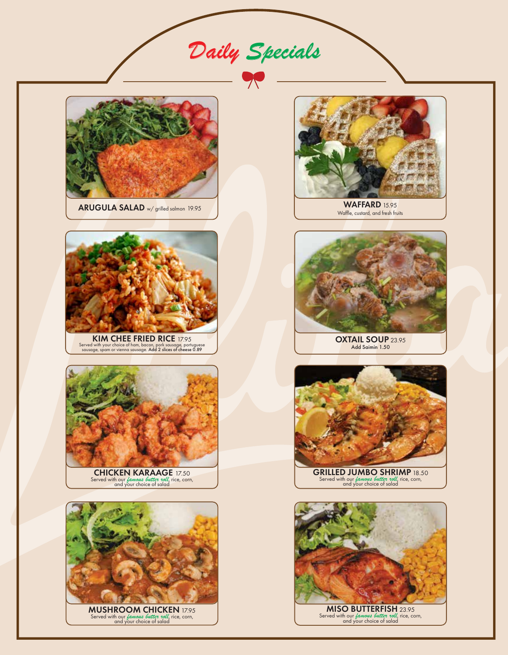*Daily Specials*



ARUGULA SALAD w/grilled salmon 19.95 WAFFARD 15.95



KIM CHEE FRIED RICE 17.95 Served with your choice of ham, bacon, pork sausage, portuguese sausage, spam or vienna sausage. Add 2 slices of cheese 0.89





Served with our *famous butter roll*, rice, corn, and your choice of salad



Waffle, custard, and fresh fruits





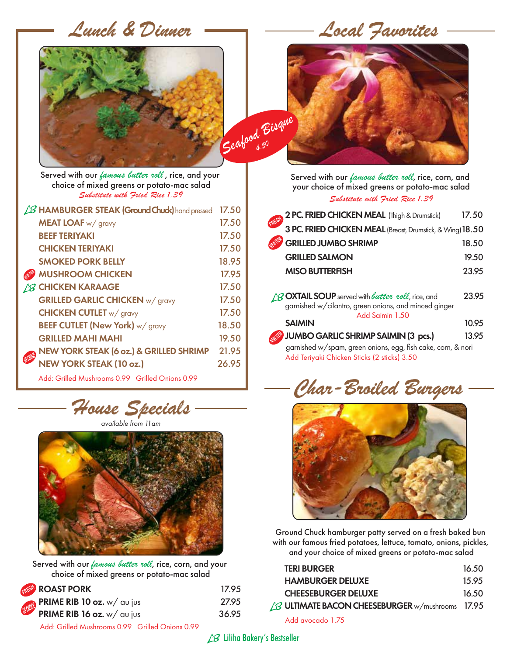*Lunch & Dinner* 



 *Local Favorites*



*Substitute with Fried Rice 1.39* Served with our *famous butter roll* , rice, and your choice of mixed greens or potato-mac salad

| $\beta$ HAMBURGER STEAK (Ground Chuck) hand pressed | 17.50 |
|-----------------------------------------------------|-------|
| <b>MEAT LOAF</b> w/ gravy                           | 17.50 |
| <b>BEEF TERIYAKI</b>                                | 17.50 |
| <b>CHICKEN TERIYAKI</b>                             | 17.50 |
| <b>SMOKED PORK BELLY</b>                            | 18.95 |
| <b>MUSHROOM CHICKEN</b>                             | 17.95 |
| <b>CHICKEN KARAAGE</b>                              | 17.50 |
| <b>GRILLED GARLIC CHICKEN w/ gravy</b>              | 17.50 |
| <b>CHICKEN CUTLET</b> w/ gravy                      | 17.50 |
| <b>BEEF CUTLET (New York)</b> w/ gravy              | 18.50 |
| <b>GRILLED MAHI MAHI</b>                            | 19.50 |
| NEW YORK STEAK (6 oz.) & GRILLED SHRIMP             | 21.95 |
| <b>NEW YORK STEAK (10 oz.)</b>                      | 26.95 |
| Add: Grilled Mushrooms 0.99 Grilled Onions 0.99     |       |

*House Specials*

*available from 11am*



Served with our *famous butter roll*, rice, corn, and your choice of mixed greens or potato-mac salad

| <b>ROAST PORK</b>                                                      | 17.95 |
|------------------------------------------------------------------------|-------|
|                                                                        | 27.95 |
| <b>PRIME RIB 10 oz.</b> w/ au jus<br><b>PRIME RIB 16 oz.</b> w/ au jus | 36.95 |
| Add: Grilled Mushrooms 0.99 Grilled Onions 0.99                        |       |

*Substitute with Fried Rice 1.39* Served with our *famous butter roll*, rice, corn, and your choice of mixed greens or potato-mac salad

| 2 PC. FRIED CHICKEN MEAL (Thigh & Drumstick)<br>FRESH      | 17.50 |
|------------------------------------------------------------|-------|
| 3 PC. FRIED CHICKEN MEAL (Breast, Drumstick, & Wing) 18.50 |       |
| <b>GRILLED JUMBO SHRIMP</b>                                | 18.50 |
| <b>GRILLED SALMON</b>                                      | 19.50 |
| <b>MISO BUTTERFISH</b>                                     | 23.95 |
| B OXTAIL SOUP served with <i>butter roll</i> , rice, and   | 23.95 |

| garnished w/cilantro, green onions, and minced ginger        |       |
|--------------------------------------------------------------|-------|
| Add Saimin 1.50                                              |       |
| <b>SAIMIN</b>                                                | 10.95 |
| JUMBO GARLIC SHRIMP SAIMIN (3 pcs.)                          | 13.95 |
| garnished w/spam, green onions, egg, fish cake, corn, & nori |       |

Add Teriyaki Chicken Sticks (2 sticks) 3.50





Ground Chuck hamburger patty served on a fresh baked bun with our famous fried potatoes, lettuce, tomato, onions, pickles, and your choice of mixed greens or potato-mac salad

| <b>TERI BURGER</b>                                     | 16.50 |
|--------------------------------------------------------|-------|
| <b>HAMBURGER DELUXE</b>                                | 15.95 |
| <b>CHEESEBURGER DELUXE</b>                             | 16.50 |
| <b>B ULTIMATE BACON CHEESEBURGER</b> w/mushrooms 17.95 |       |
| Add avocado 1.75                                       |       |

LB Liliha Bakery's Bestseller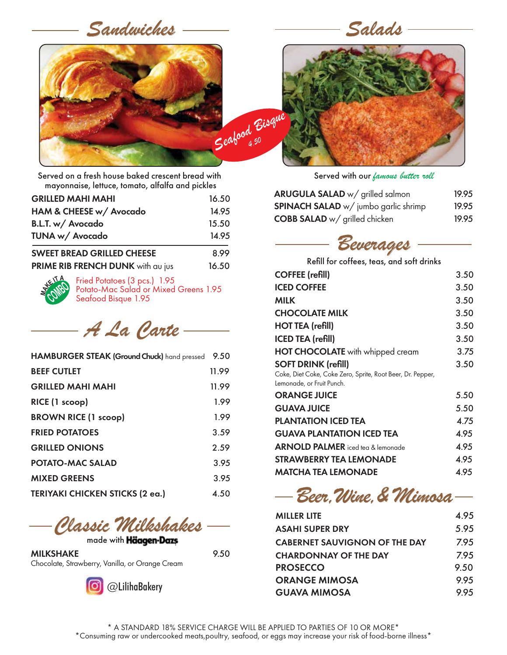| Sandwiches — | Salads -        |
|--------------|-----------------|
|              |                 |
|              |                 |
|              |                 |
|              | Seaboard Eisque |
|              |                 |

Served on a fresh house baked crescent bread with mayonnaise, lettuce, tomato, alfalfa and pickles

| <b>GRILLED MAHI MAHI</b>          | 16.50 |
|-----------------------------------|-------|
| HAM & CHEESE w/ Avocado           | 14.95 |
| B.L.T. w/ Avocado                 | 15.50 |
| TUNA w/ Avocado                   | 14.95 |
| <b>SWEET BREAD GRILLED CHEESE</b> | 8.99  |
| PRIME RIB FRENCH DUNK with au jus | 16.50 |



**COMBO** Fried Potatoes (3 pcs.) 1.95<br>Potato-Mac Salad or Mixed<br>Seafood Bisque 1.95 Potato-Mac Salad or Mixed Greens 1.95 Seafood Bisque 1.95



| HAMBURGER STEAK (Ground Chuck) hand pressed | 9.50  |
|---------------------------------------------|-------|
| <b>BEEF CUTLET</b>                          | 11.99 |
| <b>GRILLED MAHI MAHI</b>                    | 11.99 |
| RICE (1 scoop)                              | 1.99  |
| <b>BROWN RICE (1 scoop)</b>                 | 1.99  |
| <b>FRIED POTATOES</b>                       | 3.59  |
| <b>GRILLED ONIONS</b>                       | 2.59  |
| <b>POTATO-MAC SALAD</b>                     | 3.95  |
| <b>MIXED GREENS</b>                         | 3.95  |
| <b>TERIYAKI CHICKEN STICKS (2 ea.)</b>      | 4.50  |

*Classic Milkshakes*

made with Häagen-Dazs

MILKSHAKE 9.50 Chocolate, Strawberry, Vanilla, or Orange Cream



@LilihaBakery

Served with our *famous butter roll*

| <b>ARUGULA SALAD</b> w/ grilled salmon      | 19.95 |
|---------------------------------------------|-------|
| <b>SPINACH SALAD</b> w/ jumbo garlic shrimp | 19.95 |
| <b>COBB SALAD</b> w/ grilled chicken        | 19.95 |



Refill for coffees, teas, and soft drinks

| <b>COFFEE</b> (refill)                                                                  | 3.50 |
|-----------------------------------------------------------------------------------------|------|
| <b>ICED COFFEE</b>                                                                      | 3.50 |
| <b>MILK</b>                                                                             | 3.50 |
| <b>CHOCOLATE MILK</b>                                                                   | 3.50 |
| <b>HOT TEA (refill)</b>                                                                 | 3.50 |
| <b>ICED TEA (refill)</b>                                                                | 3.50 |
| <b>HOT CHOCOLATE</b> with whipped cream                                                 | 3.75 |
| <b>SOFT DRINK (refill)</b>                                                              | 3.50 |
| Coke, Diet Coke, Coke Zero, Sprite, Root Beer, Dr. Pepper,<br>Lemonade, or Fruit Punch. |      |
| <b>ORANGE JUICE</b>                                                                     | 5.50 |
| <b>GUAVA JUICE</b>                                                                      | 5.50 |
| <b>PLANTATION ICED TEA</b>                                                              | 4.75 |
| <b>GUAVA PLANTATION ICED TEA</b>                                                        | 4.95 |
| <b>ARNOLD PALMER</b> iced teg & lemonade                                                | 4.95 |
| <b>STRAWBERRY TEA LEMONADE</b>                                                          | 4.95 |
| <b>MATCHA TEA LEMONADE</b>                                                              | 4.95 |
|                                                                                         |      |

*Beer,Wine,& Mimosa*

| <b>MILLER LITE</b>                   | 4.95 |
|--------------------------------------|------|
| <b>ASAHI SUPER DRY</b>               | 5.95 |
| <b>CABERNET SAUVIGNON OF THE DAY</b> | 7.95 |
| <b>CHARDONNAY OF THE DAY</b>         | 7.95 |
| <b>PROSECCO</b>                      | 9.50 |
| <b>ORANGE MIMOSA</b>                 | 9.95 |
| <b>GUAVA MIMOSA</b>                  | 9.95 |